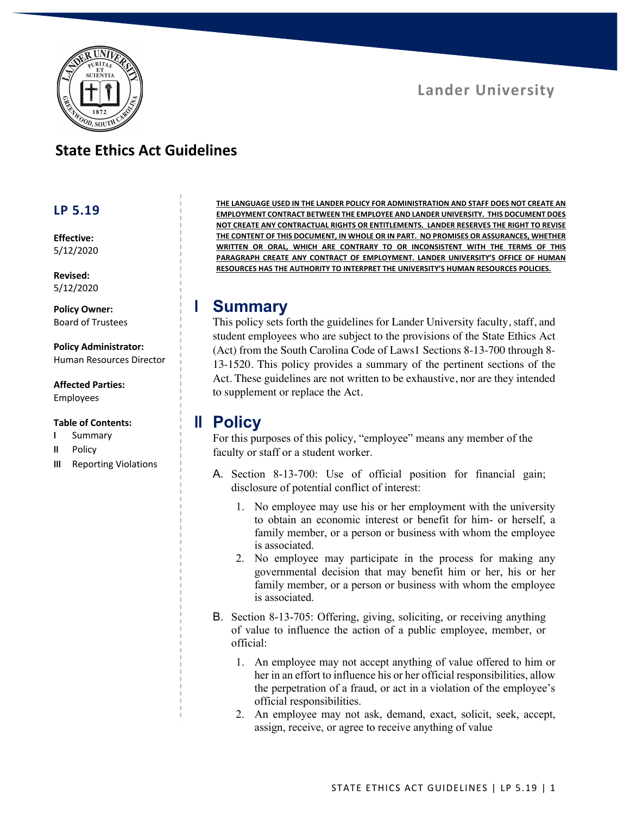

## **State Ethics Act Guidelines**

### **LP 5.19**

**Effective:** 5/12/2020

**Revised:** 5/12/2020

**Policy Owner:** Board of Trustees

**Policy Administrator:** Human Resources Director

**Affected Parties:** Employees

#### **Table of Contents:**

- **I** Summary
- **II** Policy
- **III** Reporting Violations

**THE LANGUAGE USED IN THE LANDER POLICY FOR ADMINISTRATION AND STAFF DOES NOT CREATE AN EMPLOYMENT CONTRACT BETWEEN THE EMPLOYEE AND LANDER UNIVERSITY. THIS DOCUMENT DOES NOT CREATE ANY CONTRACTUAL RIGHTS OR ENTITLEMENTS. LANDER RESERVES THE RIGHT TO REVISE THE CONTENT OF THIS DOCUMENT, IN WHOLE OR IN PART. NO PROMISES OR ASSURANCES, WHETHER WRITTEN OR ORAL, WHICH ARE CONTRARY TO OR INCONSISTENT WITH THE TERMS OF THIS PARAGRAPH CREATE ANY CONTRACT OF EMPLOYMENT. LANDER UNIVERSITY'S OFFICE OF HUMAN RESOURCES HAS THE AUTHORITY TO INTERPRET THE UNIVERSITY'S HUMAN RESOURCES POLICIES.**

## **I Summary**

This policy sets forth the guidelines for Lander University faculty, staff, and student employees who are subject to the provisions of the State Ethics Act (Act) from the South Carolina Code of Laws1 Sections 8-13-700 through 8- 13-1520. This policy provides a summary of the pertinent sections of the Act. These guidelines are not written to be exhaustive, nor are they intended to supplement or replace the Act.

## **II Policy**

For this purposes of this policy, "employee" means any member of the faculty or staff or a student worker.

- A. Section 8-13-700: Use of official position for financial gain; disclosure of potential conflict of interest:
	- 1. No employee may use his or her employment with the university to obtain an economic interest or benefit for him- or herself, a family member, or a person or business with whom the employee is associated.
	- 2. No employee may participate in the process for making any governmental decision that may benefit him or her, his or her family member, or a person or business with whom the employee is associated.
- B. Section 8-13-705: Offering, giving, soliciting, or receiving anything of value to influence the action of a public employee, member, or official:
	- 1. An employee may not accept anything of value offered to him or her in an effort to influence his or her official responsibilities, allow the perpetration of a fraud, or act in a violation of the employee's official responsibilities.
	- 2. An employee may not ask, demand, exact, solicit, seek, accept, assign, receive, or agree to receive anything of value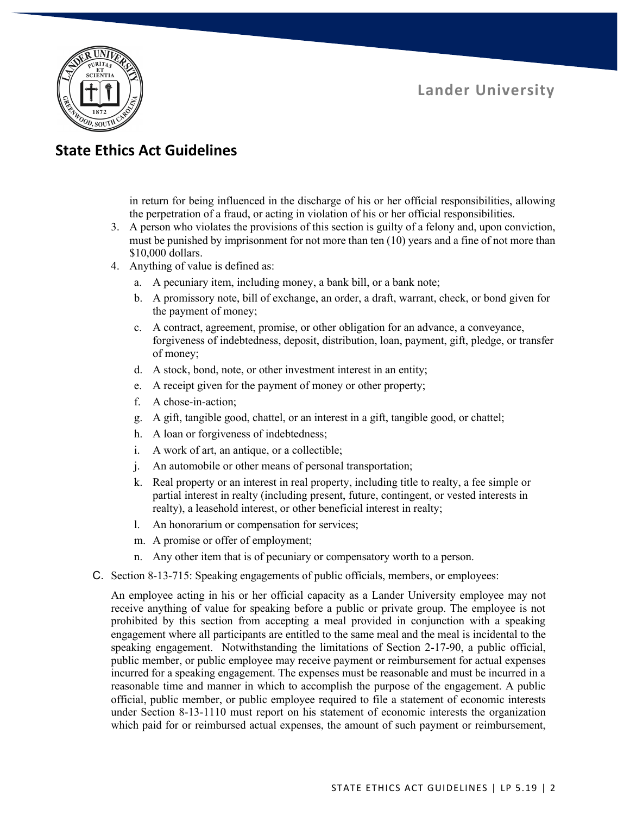

# **State Ethics Act Guidelines**

in return for being influenced in the discharge of his or her official responsibilities, allowing the perpetration of a fraud, or acting in violation of his or her official responsibilities.

- 3. A person who violates the provisions of this section is guilty of a felony and, upon conviction, must be punished by imprisonment for not more than ten (10) years and a fine of not more than \$10,000 dollars.
- 4. Anything of value is defined as:
	- a. A pecuniary item, including money, a bank bill, or a bank note;
	- b. A promissory note, bill of exchange, an order, a draft, warrant, check, or bond given for the payment of money;
	- c. A contract, agreement, promise, or other obligation for an advance, a conveyance, forgiveness of indebtedness, deposit, distribution, loan, payment, gift, pledge, or transfer of money;
	- d. A stock, bond, note, or other investment interest in an entity;
	- e. A receipt given for the payment of money or other property;
	- f. A chose-in-action;
	- g. A gift, tangible good, chattel, or an interest in a gift, tangible good, or chattel;
	- h. A loan or forgiveness of indebtedness;
	- i. A work of art, an antique, or a collectible;
	- j. An automobile or other means of personal transportation;
	- k. Real property or an interest in real property, including title to realty, a fee simple or partial interest in realty (including present, future, contingent, or vested interests in realty), a leasehold interest, or other beneficial interest in realty;
	- l. An honorarium or compensation for services;
	- m. A promise or offer of employment;
	- n. Any other item that is of pecuniary or compensatory worth to a person.
- C. Section 8-13-715: Speaking engagements of public officials, members, or employees:

An employee acting in his or her official capacity as a Lander University employee may not receive anything of value for speaking before a public or private group. The employee is not prohibited by this section from accepting a meal provided in conjunction with a speaking engagement where all participants are entitled to the same meal and the meal is incidental to the speaking engagement. Notwithstanding the limitations of Section 2-17-90, a public official, public member, or public employee may receive payment or reimbursement for actual expenses incurred for a speaking engagement. The expenses must be reasonable and must be incurred in a reasonable time and manner in which to accomplish the purpose of the engagement. A public official, public member, or public employee required to file a statement of economic interests under Section 8-13-1110 must report on his statement of economic interests the organization which paid for or reimbursed actual expenses, the amount of such payment or reimbursement,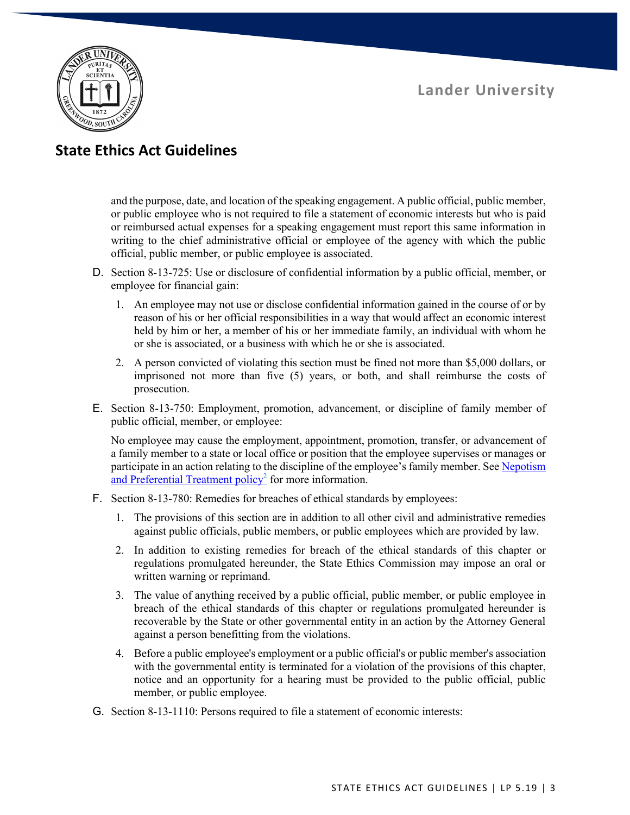

## **State Ethics Act Guidelines**

and the purpose, date, and location of the speaking engagement. A public official, public member, or public employee who is not required to file a statement of economic interests but who is paid or reimbursed actual expenses for a speaking engagement must report this same information in writing to the chief administrative official or employee of the agency with which the public official, public member, or public employee is associated.

- D. Section 8-13-725: Use or disclosure of confidential information by a public official, member, or employee for financial gain:
	- 1. An employee may not use or disclose confidential information gained in the course of or by reason of his or her official responsibilities in a way that would affect an economic interest held by him or her, a member of his or her immediate family, an individual with whom he or she is associated, or a business with which he or she is associated.
	- 2. A person convicted of violating this section must be fined not more than \$5,000 dollars, or imprisoned not more than five (5) years, or both, and shall reimburse the costs of prosecution.
- E. Section 8-13-750: Employment, promotion, advancement, or discipline of family member of public official, member, or employee:

No employee may cause the employment, appointment, promotion, transfer, or advancement of a family member to a state or local office or position that the employee supervises or manages or participate in an action relating to the discipline of the employee's family member. See Nepotism and Preferential Treatment policy<sup>2</sup> for more information.

- F. Section 8-13-780: Remedies for breaches of ethical standards by employees:
	- 1. The provisions of this section are in addition to all other civil and administrative remedies against public officials, public members, or public employees which are provided by law.
	- 2. In addition to existing remedies for breach of the ethical standards of this chapter or regulations promulgated hereunder, the State Ethics Commission may impose an oral or written warning or reprimand.
	- 3. The value of anything received by a public official, public member, or public employee in breach of the ethical standards of this chapter or regulations promulgated hereunder is recoverable by the State or other governmental entity in an action by the Attorney General against a person benefitting from the violations.
	- 4. Before a public employee's employment or a public official's or public member's association with the governmental entity is terminated for a violation of the provisions of this chapter, notice and an opportunity for a hearing must be provided to the public official, public member, or public employee.
- G. Section 8-13-1110: Persons required to file a statement of economic interests: